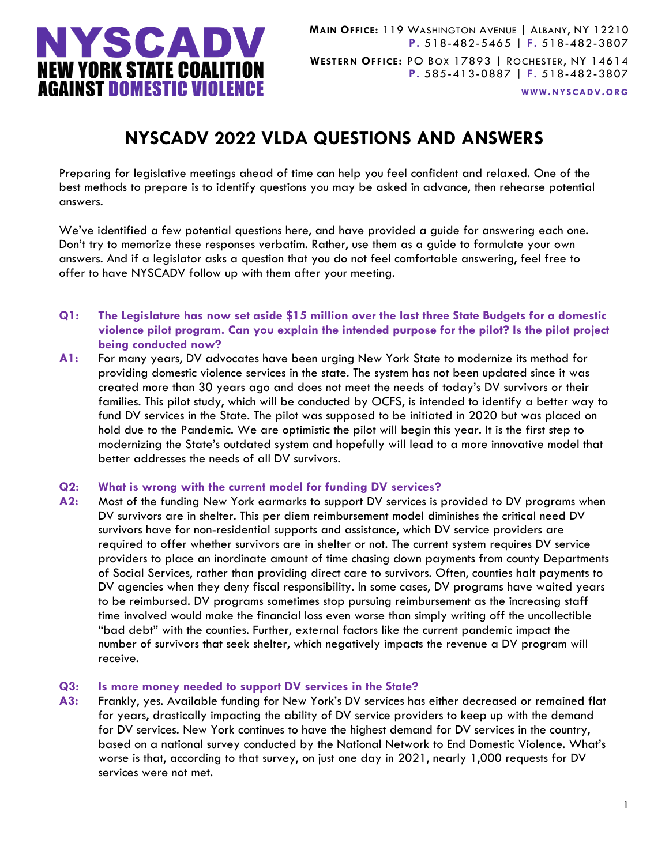

**[WWW.NYSCADV.ORG](file://server/data/Official%20Documents/NYSCADV%20Logo%20&%20Branding/2015%20Letterhead/www.nyscadv.org)**

# **NYSCADV 2022 VLDA QUESTIONS AND ANSWERS**

Preparing for legislative meetings ahead of time can help you feel confident and relaxed. One of the best methods to prepare is to identify questions you may be asked in advance, then rehearse potential answers.

We've identified a few potential questions here, and have provided a guide for answering each one. Don't try to memorize these responses verbatim. Rather, use them as a guide to formulate your own answers. And if a legislator asks a question that you do not feel comfortable answering, feel free to offer to have NYSCADV follow up with them after your meeting.

- **Q1: The Legislature has now set aside \$15 million over the last three State Budgets for a domestic violence pilot program. Can you explain the intended purpose for the pilot? Is the pilot project being conducted now?**
- **A1:** For many years, DV advocates have been urging New York State to modernize its method for providing domestic violence services in the state. The system has not been updated since it was created more than 30 years ago and does not meet the needs of today's DV survivors or their families. This pilot study, which will be conducted by OCFS, is intended to identify a better way to fund DV services in the State. The pilot was supposed to be initiated in 2020 but was placed on hold due to the Pandemic. We are optimistic the pilot will begin this year. It is the first step to modernizing the State's outdated system and hopefully will lead to a more innovative model that better addresses the needs of all DV survivors.

### **Q2: What is wrong with the current model for funding DV services?**

**A2:** Most of the funding New York earmarks to support DV services is provided to DV programs when DV survivors are in shelter. This per diem reimbursement model diminishes the critical need DV survivors have for non-residential supports and assistance, which DV service providers are required to offer whether survivors are in shelter or not. The current system requires DV service providers to place an inordinate amount of time chasing down payments from county Departments of Social Services, rather than providing direct care to survivors. Often, counties halt payments to DV agencies when they deny fiscal responsibility. In some cases, DV programs have waited years to be reimbursed. DV programs sometimes stop pursuing reimbursement as the increasing staff time involved would make the financial loss even worse than simply writing off the uncollectible "bad debt" with the counties. Further, external factors like the current pandemic impact the number of survivors that seek shelter, which negatively impacts the revenue a DV program will receive.

### **Q3: Is more money needed to support DV services in the State?**

**A3:** Frankly, yes. Available funding for New York's DV services has either decreased or remained flat for years, drastically impacting the ability of DV service providers to keep up with the demand for DV services. New York continues to have the highest demand for DV services in the country, based on a national survey conducted by the National Network to End Domestic Violence. What's worse is that, according to that survey, on just one day in 2021, nearly 1,000 requests for DV services were not met.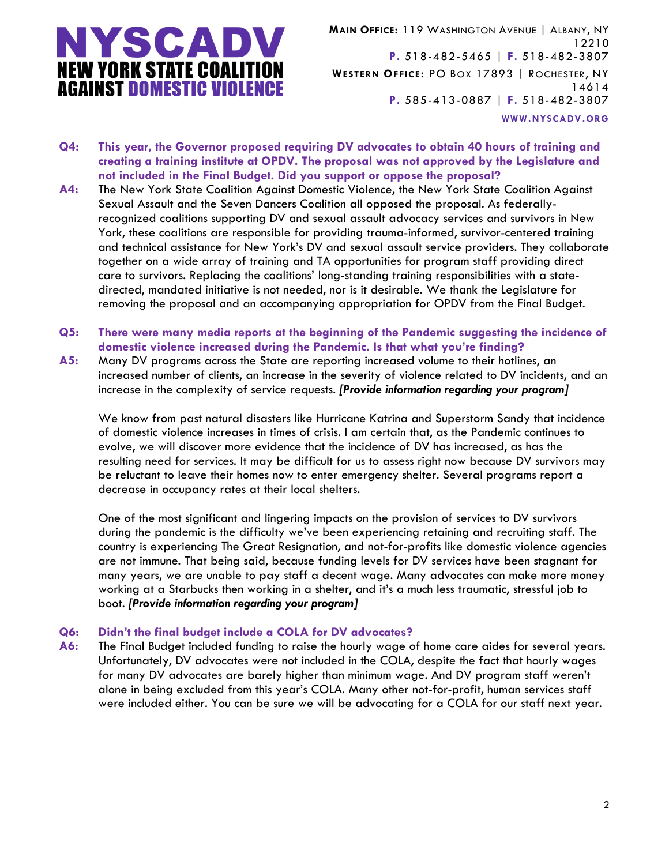

**MAIN OFFICE:** 119 WASHINGTON AVENUE | ALBANY, NY 12210 **P.** 518-482-5465 | **F.** 518-482-3807 **WESTERN OFFICE:** PO BOX 17893 | ROCHESTER, NY 14614 **P.** 585-413-0887 | **F.** 518-482-3807 **[WWW.NYSCADV.ORG](file://server/data/Official%20Documents/NYSCADV%20Logo%20&%20Branding/2015%20Letterhead/www.nyscadv.org)**

- **Q4: This year, the Governor proposed requiring DV advocates to obtain 40 hours of training and creating a training institute at OPDV. The proposal was not approved by the Legislature and not included in the Final Budget. Did you support or oppose the proposal?**
- **A4:** The New York State Coalition Against Domestic Violence, the New York State Coalition Against Sexual Assault and the Seven Dancers Coalition all opposed the proposal. As federallyrecognized coalitions supporting DV and sexual assault advocacy services and survivors in New York, these coalitions are responsible for providing trauma-informed, survivor-centered training and technical assistance for New York's DV and sexual assault service providers. They collaborate together on a wide array of training and TA opportunities for program staff providing direct care to survivors. Replacing the coalitions' long-standing training responsibilities with a statedirected, mandated initiative is not needed, nor is it desirable. We thank the Legislature for removing the proposal and an accompanying appropriation for OPDV from the Final Budget.
- **Q5: There were many media reports at the beginning of the Pandemic suggesting the incidence of domestic violence increased during the Pandemic. Is that what you're finding?**
- **A5:** Many DV programs across the State are reporting increased volume to their hotlines, an increased number of clients, an increase in the severity of violence related to DV incidents, and an increase in the complexity of service requests. *[Provide information regarding your program]*

We know from past natural disasters like Hurricane Katrina and Superstorm Sandy that incidence of domestic violence increases in times of crisis. I am certain that, as the Pandemic continues to evolve, we will discover more evidence that the incidence of DV has increased, as has the resulting need for services. It may be difficult for us to assess right now because DV survivors may be reluctant to leave their homes now to enter emergency shelter. Several programs report a decrease in occupancy rates at their local shelters.

One of the most significant and lingering impacts on the provision of services to DV survivors during the pandemic is the difficulty we've been experiencing retaining and recruiting staff. The country is experiencing The Great Resignation, and not-for-profits like domestic violence agencies are not immune. That being said, because funding levels for DV services have been stagnant for many years, we are unable to pay staff a decent wage. Many advocates can make more money working at a Starbucks then working in a shelter, and it's a much less traumatic, stressful job to boot. *[Provide information regarding your program]*

### **Q6: Didn't the final budget include a COLA for DV advocates?**

**A6:** The Final Budget included funding to raise the hourly wage of home care aides for several years. Unfortunately, DV advocates were not included in the COLA, despite the fact that hourly wages for many DV advocates are barely higher than minimum wage. And DV program staff weren't alone in being excluded from this year's COLA. Many other not-for-profit, human services staff were included either. You can be sure we will be advocating for a COLA for our staff next year.